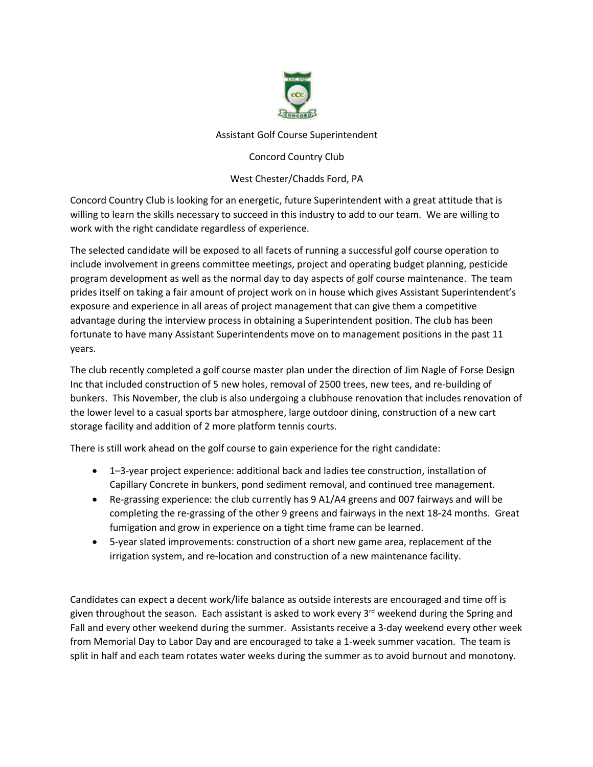

## Assistant Golf Course Superintendent

## Concord Country Club

## West Chester/Chadds Ford, PA

Concord Country Club is looking for an energetic, future Superintendent with a great attitude that is willing to learn the skills necessary to succeed in this industry to add to our team. We are willing to work with the right candidate regardless of experience.

The selected candidate will be exposed to all facets of running a successful golf course operation to include involvement in greens committee meetings, project and operating budget planning, pesticide program development as well as the normal day to day aspects of golf course maintenance. The team prides itself on taking a fair amount of project work on in house which gives Assistant Superintendent's exposure and experience in all areas of project management that can give them a competitive advantage during the interview process in obtaining a Superintendent position. The club has been fortunate to have many Assistant Superintendents move on to management positions in the past 11 years.

The club recently completed a golf course master plan under the direction of Jim Nagle of Forse Design Inc that included construction of 5 new holes, removal of 2500 trees, new tees, and re-building of bunkers. This November, the club is also undergoing a clubhouse renovation that includes renovation of the lower level to a casual sports bar atmosphere, large outdoor dining, construction of a new cart storage facility and addition of 2 more platform tennis courts.

There is still work ahead on the golf course to gain experience for the right candidate:

- 1–3-year project experience: additional back and ladies tee construction, installation of Capillary Concrete in bunkers, pond sediment removal, and continued tree management.
- Re-grassing experience: the club currently has 9 A1/A4 greens and 007 fairways and will be completing the re-grassing of the other 9 greens and fairways in the next 18-24 months. Great fumigation and grow in experience on a tight time frame can be learned.
- 5-year slated improvements: construction of a short new game area, replacement of the irrigation system, and re-location and construction of a new maintenance facility.

Candidates can expect a decent work/life balance as outside interests are encouraged and time off is given throughout the season. Each assistant is asked to work every  $3<sup>rd</sup>$  weekend during the Spring and Fall and every other weekend during the summer. Assistants receive a 3-day weekend every other week from Memorial Day to Labor Day and are encouraged to take a 1-week summer vacation. The team is split in half and each team rotates water weeks during the summer as to avoid burnout and monotony.